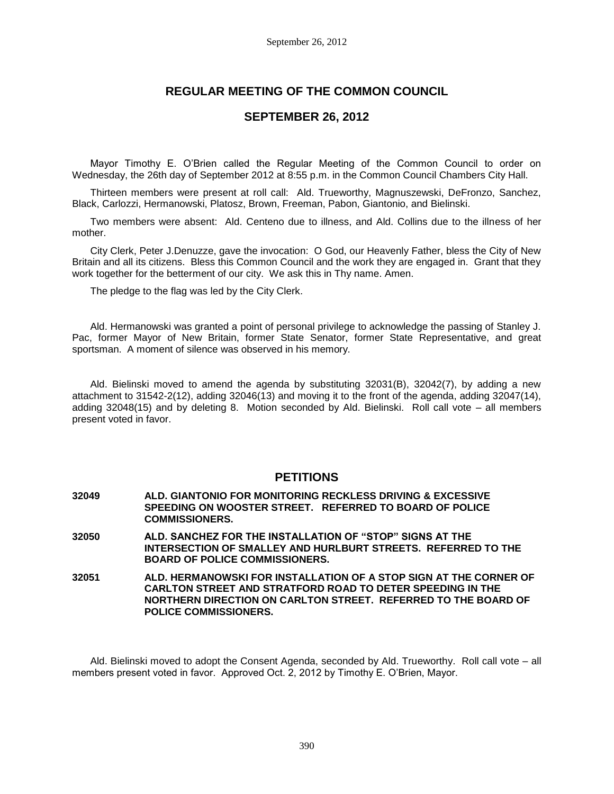# **REGULAR MEETING OF THE COMMON COUNCIL**

## **SEPTEMBER 26, 2012**

Mayor Timothy E. O'Brien called the Regular Meeting of the Common Council to order on Wednesday, the 26th day of September 2012 at 8:55 p.m. in the Common Council Chambers City Hall.

Thirteen members were present at roll call: Ald. Trueworthy, Magnuszewski, DeFronzo, Sanchez, Black, Carlozzi, Hermanowski, Platosz, Brown, Freeman, Pabon, Giantonio, and Bielinski.

Two members were absent: Ald. Centeno due to illness, and Ald. Collins due to the illness of her mother.

City Clerk, Peter J.Denuzze, gave the invocation: O God, our Heavenly Father, bless the City of New Britain and all its citizens. Bless this Common Council and the work they are engaged in. Grant that they work together for the betterment of our city. We ask this in Thy name. Amen.

The pledge to the flag was led by the City Clerk.

Ald. Hermanowski was granted a point of personal privilege to acknowledge the passing of Stanley J. Pac, former Mayor of New Britain, former State Senator, former State Representative, and great sportsman. A moment of silence was observed in his memory.

Ald. Bielinski moved to amend the agenda by substituting 32031(B), 32042(7), by adding a new attachment to 31542-2(12), adding 32046(13) and moving it to the front of the agenda, adding 32047(14), adding 32048(15) and by deleting 8. Motion seconded by Ald. Bielinski. Roll call vote – all members present voted in favor.

## **PETITIONS**

- **32049 ALD. GIANTONIO FOR MONITORING RECKLESS DRIVING & EXCESSIVE SPEEDING ON WOOSTER STREET. REFERRED TO BOARD OF POLICE COMMISSIONERS. 32050 ALD. SANCHEZ FOR THE INSTALLATION OF "STOP" SIGNS AT THE INTERSECTION OF SMALLEY AND HURLBURT STREETS. REFERRED TO THE BOARD OF POLICE COMMISSIONERS.**
- **32051 ALD. HERMANOWSKI FOR INSTALLATION OF A STOP SIGN AT THE CORNER OF CARLTON STREET AND STRATFORD ROAD TO DETER SPEEDING IN THE NORTHERN DIRECTION ON CARLTON STREET. REFERRED TO THE BOARD OF POLICE COMMISSIONERS.**

Ald. Bielinski moved to adopt the Consent Agenda, seconded by Ald. Trueworthy. Roll call vote – all members present voted in favor. Approved Oct. 2, 2012 by Timothy E. O'Brien, Mayor.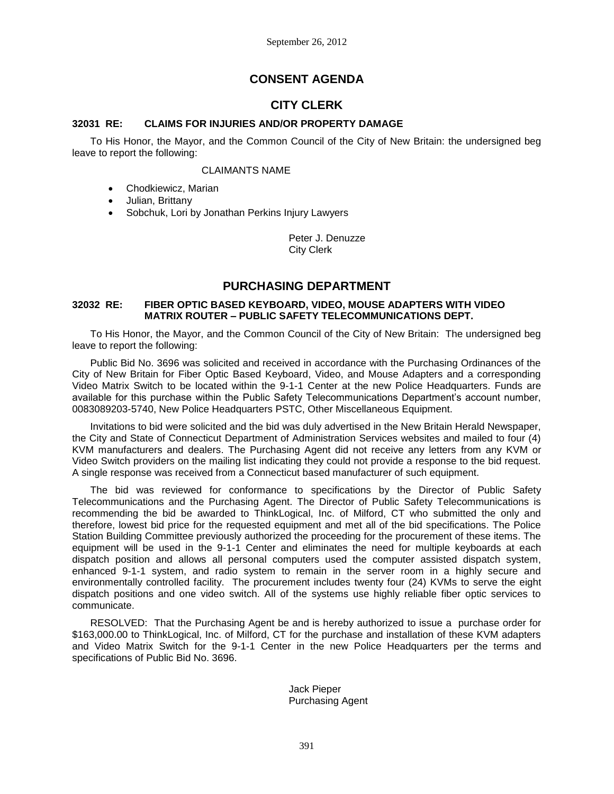# **CONSENT AGENDA**

# **CITY CLERK**

## **32031 RE: CLAIMS FOR INJURIES AND/OR PROPERTY DAMAGE**

To His Honor, the Mayor, and the Common Council of the City of New Britain: the undersigned beg leave to report the following:

#### CLAIMANTS NAME

- Chodkiewicz, Marian
- Julian, Brittany
- Sobchuk, Lori by Jonathan Perkins Injury Lawyers

Peter J. Denuzze City Clerk

## **PURCHASING DEPARTMENT**

#### **32032 RE: FIBER OPTIC BASED KEYBOARD, VIDEO, MOUSE ADAPTERS WITH VIDEO MATRIX ROUTER – PUBLIC SAFETY TELECOMMUNICATIONS DEPT.**

To His Honor, the Mayor, and the Common Council of the City of New Britain: The undersigned beg leave to report the following:

Public Bid No. 3696 was solicited and received in accordance with the Purchasing Ordinances of the City of New Britain for Fiber Optic Based Keyboard, Video, and Mouse Adapters and a corresponding Video Matrix Switch to be located within the 9-1-1 Center at the new Police Headquarters. Funds are available for this purchase within the Public Safety Telecommunications Department's account number, 0083089203-5740, New Police Headquarters PSTC, Other Miscellaneous Equipment.

Invitations to bid were solicited and the bid was duly advertised in the New Britain Herald Newspaper, the City and State of Connecticut Department of Administration Services websites and mailed to four (4) KVM manufacturers and dealers. The Purchasing Agent did not receive any letters from any KVM or Video Switch providers on the mailing list indicating they could not provide a response to the bid request. A single response was received from a Connecticut based manufacturer of such equipment.

The bid was reviewed for conformance to specifications by the Director of Public Safety Telecommunications and the Purchasing Agent. The Director of Public Safety Telecommunications is recommending the bid be awarded to ThinkLogical, Inc. of Milford, CT who submitted the only and therefore, lowest bid price for the requested equipment and met all of the bid specifications. The Police Station Building Committee previously authorized the proceeding for the procurement of these items. The equipment will be used in the 9-1-1 Center and eliminates the need for multiple keyboards at each dispatch position and allows all personal computers used the computer assisted dispatch system, enhanced 9-1-1 system, and radio system to remain in the server room in a highly secure and environmentally controlled facility. The procurement includes twenty four (24) KVMs to serve the eight dispatch positions and one video switch. All of the systems use highly reliable fiber optic services to communicate.

RESOLVED: That the Purchasing Agent be and is hereby authorized to issue a purchase order for \$163,000.00 to ThinkLogical, Inc. of Milford, CT for the purchase and installation of these KVM adapters and Video Matrix Switch for the 9-1-1 Center in the new Police Headquarters per the terms and specifications of Public Bid No. 3696.

#### Jack Pieper Purchasing Agent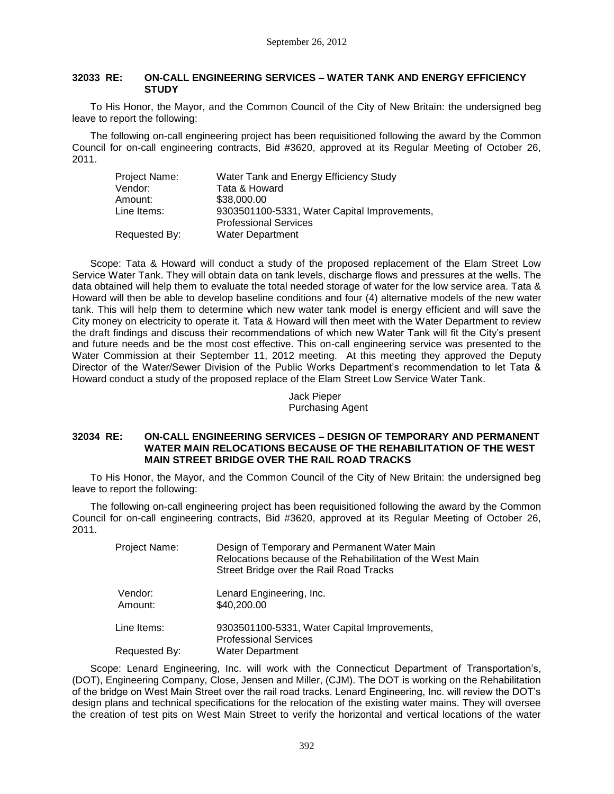#### **32033 RE: ON-CALL ENGINEERING SERVICES – WATER TANK AND ENERGY EFFICIENCY STUDY**

To His Honor, the Mayor, and the Common Council of the City of New Britain: the undersigned beg leave to report the following:

The following on-call engineering project has been requisitioned following the award by the Common Council for on-call engineering contracts, Bid #3620, approved at its Regular Meeting of October 26, 2011.

| Project Name: | Water Tank and Energy Efficiency Study       |
|---------------|----------------------------------------------|
| Vendor:       | Tata & Howard                                |
| Amount:       | \$38,000.00                                  |
| Line Items:   | 9303501100-5331, Water Capital Improvements, |
|               | <b>Professional Services</b>                 |
| Requested By: | <b>Water Department</b>                      |

Scope: Tata & Howard will conduct a study of the proposed replacement of the Elam Street Low Service Water Tank. They will obtain data on tank levels, discharge flows and pressures at the wells. The data obtained will help them to evaluate the total needed storage of water for the low service area. Tata & Howard will then be able to develop baseline conditions and four (4) alternative models of the new water tank. This will help them to determine which new water tank model is energy efficient and will save the City money on electricity to operate it. Tata & Howard will then meet with the Water Department to review the draft findings and discuss their recommendations of which new Water Tank will fit the City's present and future needs and be the most cost effective. This on-call engineering service was presented to the Water Commission at their September 11, 2012 meeting. At this meeting they approved the Deputy Director of the Water/Sewer Division of the Public Works Department's recommendation to let Tata & Howard conduct a study of the proposed replace of the Elam Street Low Service Water Tank.

# Jack Pieper Purchasing Agent

#### **32034 RE: ON-CALL ENGINEERING SERVICES – DESIGN OF TEMPORARY AND PERMANENT WATER MAIN RELOCATIONS BECAUSE OF THE REHABILITATION OF THE WEST MAIN STREET BRIDGE OVER THE RAIL ROAD TRACKS**

To His Honor, the Mayor, and the Common Council of the City of New Britain: the undersigned beg leave to report the following:

The following on-call engineering project has been requisitioned following the award by the Common Council for on-call engineering contracts, Bid #3620, approved at its Regular Meeting of October 26, 2011.

| Project Name:      | Design of Temporary and Permanent Water Main<br>Relocations because of the Rehabilitation of the West Main<br>Street Bridge over the Rail Road Tracks |
|--------------------|-------------------------------------------------------------------------------------------------------------------------------------------------------|
| Vendor:<br>Amount: | Lenard Engineering, Inc.<br>\$40,200.00                                                                                                               |
| Line Items:        | 9303501100-5331, Water Capital Improvements,<br><b>Professional Services</b>                                                                          |
| Requested By:      | <b>Water Department</b>                                                                                                                               |

Scope: Lenard Engineering, Inc. will work with the Connecticut Department of Transportation's, (DOT), Engineering Company, Close, Jensen and Miller, (CJM). The DOT is working on the Rehabilitation of the bridge on West Main Street over the rail road tracks. Lenard Engineering, Inc. will review the DOT's design plans and technical specifications for the relocation of the existing water mains. They will oversee the creation of test pits on West Main Street to verify the horizontal and vertical locations of the water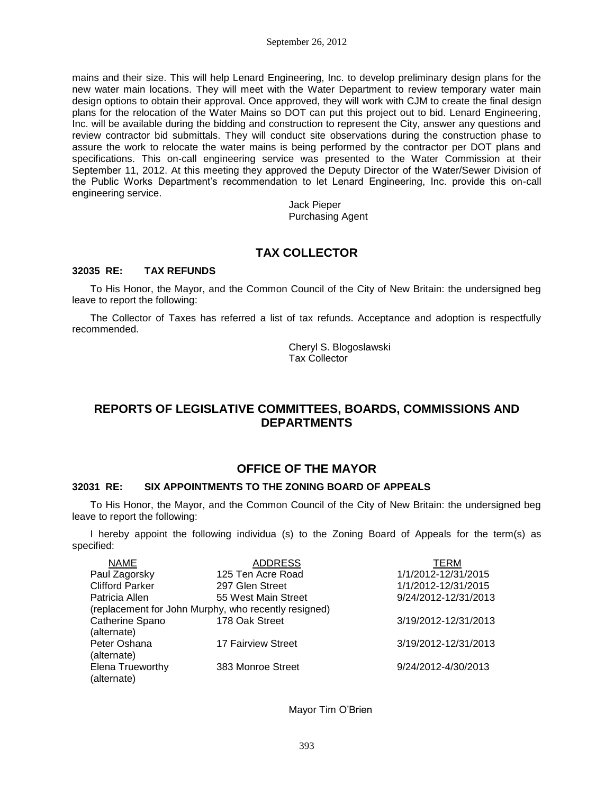mains and their size. This will help Lenard Engineering, Inc. to develop preliminary design plans for the new water main locations. They will meet with the Water Department to review temporary water main design options to obtain their approval. Once approved, they will work with CJM to create the final design plans for the relocation of the Water Mains so DOT can put this project out to bid. Lenard Engineering, Inc. will be available during the bidding and construction to represent the City, answer any questions and review contractor bid submittals. They will conduct site observations during the construction phase to assure the work to relocate the water mains is being performed by the contractor per DOT plans and specifications. This on-call engineering service was presented to the Water Commission at their September 11, 2012. At this meeting they approved the Deputy Director of the Water/Sewer Division of the Public Works Department's recommendation to let Lenard Engineering, Inc. provide this on-call engineering service.

> Jack Pieper Purchasing Agent

# **TAX COLLECTOR**

## **32035 RE: TAX REFUNDS**

To His Honor, the Mayor, and the Common Council of the City of New Britain: the undersigned beg leave to report the following:

The Collector of Taxes has referred a list of tax refunds. Acceptance and adoption is respectfully recommended.

> Cheryl S. Blogoslawski Tax Collector

# **REPORTS OF LEGISLATIVE COMMITTEES, BOARDS, COMMISSIONS AND DEPARTMENTS**

# **OFFICE OF THE MAYOR**

## **32031 RE: SIX APPOINTMENTS TO THE ZONING BOARD OF APPEALS**

To His Honor, the Mayor, and the Common Council of the City of New Britain: the undersigned beg leave to report the following:

I hereby appoint the following individua (s) to the Zoning Board of Appeals for the term(s) as specified:

| <b>NAME</b>            | <b>ADDRESS</b>                                       | TERM                 |
|------------------------|------------------------------------------------------|----------------------|
| Paul Zagorsky          | 125 Ten Acre Road                                    | 1/1/2012-12/31/2015  |
| <b>Clifford Parker</b> | 297 Glen Street                                      | 1/1/2012-12/31/2015  |
| Patricia Allen         | 55 West Main Street                                  | 9/24/2012-12/31/2013 |
|                        | (replacement for John Murphy, who recently resigned) |                      |
| Catherine Spano        | 178 Oak Street                                       | 3/19/2012-12/31/2013 |
| (alternate)            |                                                      |                      |
| Peter Oshana           | 17 Fairview Street                                   | 3/19/2012-12/31/2013 |
| (alternate)            |                                                      |                      |
| Elena Trueworthy       | 383 Monroe Street                                    | 9/24/2012-4/30/2013  |
| (alternate)            |                                                      |                      |

Mayor Tim O'Brien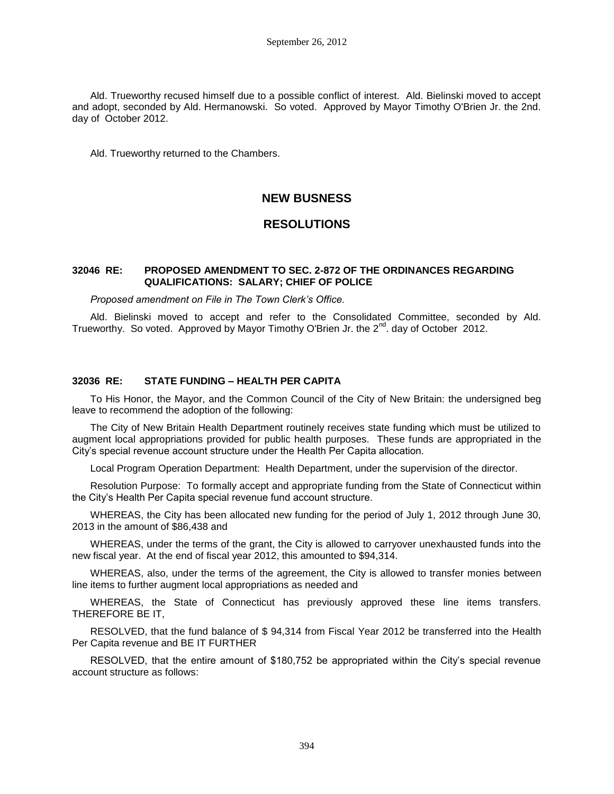Ald. Trueworthy recused himself due to a possible conflict of interest. Ald. Bielinski moved to accept and adopt, seconded by Ald. Hermanowski. So voted. Approved by Mayor Timothy O'Brien Jr. the 2nd. day of October 2012.

Ald. Trueworthy returned to the Chambers.

# **NEW BUSNESS**

## **RESOLUTIONS**

#### **32046 RE: PROPOSED AMENDMENT TO SEC. 2-872 OF THE ORDINANCES REGARDING QUALIFICATIONS: SALARY; CHIEF OF POLICE**

*Proposed amendment on File in The Town Clerk's Office.*

Ald. Bielinski moved to accept and refer to the Consolidated Committee, seconded by Ald. Trueworthy. So voted. Approved by Mayor Timothy O'Brien Jr. the 2<sup>nd</sup>. day of October 2012.

#### **32036 RE: STATE FUNDING – HEALTH PER CAPITA**

To His Honor, the Mayor, and the Common Council of the City of New Britain: the undersigned beg leave to recommend the adoption of the following:

The City of New Britain Health Department routinely receives state funding which must be utilized to augment local appropriations provided for public health purposes. These funds are appropriated in the City's special revenue account structure under the Health Per Capita allocation.

Local Program Operation Department: Health Department, under the supervision of the director.

Resolution Purpose: To formally accept and appropriate funding from the State of Connecticut within the City's Health Per Capita special revenue fund account structure.

WHEREAS, the City has been allocated new funding for the period of July 1, 2012 through June 30, 2013 in the amount of \$86,438 and

WHEREAS, under the terms of the grant, the City is allowed to carryover unexhausted funds into the new fiscal year. At the end of fiscal year 2012, this amounted to \$94,314.

WHEREAS, also, under the terms of the agreement, the City is allowed to transfer monies between line items to further augment local appropriations as needed and

WHEREAS, the State of Connecticut has previously approved these line items transfers. THEREFORE BE IT,

RESOLVED, that the fund balance of \$ 94,314 from Fiscal Year 2012 be transferred into the Health Per Capita revenue and BE IT FURTHER

RESOLVED, that the entire amount of \$180,752 be appropriated within the City's special revenue account structure as follows: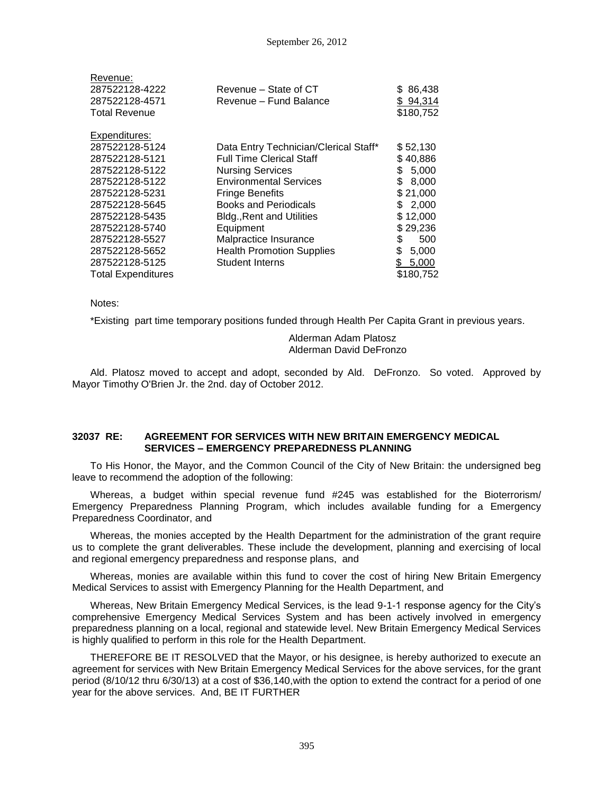| Revenue:                  |                                       |             |
|---------------------------|---------------------------------------|-------------|
| 287522128-4222            | Revenue – State of CT                 | \$86,438    |
| 287522128-4571            | Revenue - Fund Balance                | \$94,314    |
| <b>Total Revenue</b>      |                                       | \$180,752   |
| Expenditures:             |                                       |             |
| 287522128-5124            | Data Entry Technician/Clerical Staff* | \$52,130    |
| 287522128-5121            | <b>Full Time Clerical Staff</b>       | \$40,886    |
| 287522128-5122            | <b>Nursing Services</b>               | \$<br>5,000 |
| 287522128-5122            | <b>Environmental Services</b>         | \$<br>8,000 |
| 287522128-5231            | <b>Fringe Benefits</b>                | \$21,000    |
| 287522128-5645            | <b>Books and Periodicals</b>          | \$2,000     |
| 287522128-5435            | <b>Bldg., Rent and Utilities</b>      | \$12,000    |
| 287522128-5740            | Equipment                             | \$29,236    |
| 287522128-5527            | Malpractice Insurance                 | \$<br>500   |
| 287522128-5652            | <b>Health Promotion Supplies</b>      | \$<br>5,000 |
| 287522128-5125            | <b>Student Interns</b>                | \$<br>5,000 |
| <b>Total Expenditures</b> |                                       | \$180,752   |

Notes:

\*Existing part time temporary positions funded through Health Per Capita Grant in previous years.

### Alderman Adam Platosz Alderman David DeFronzo

Ald. Platosz moved to accept and adopt, seconded by Ald. DeFronzo. So voted. Approved by Mayor Timothy O'Brien Jr. the 2nd. day of October 2012.

#### **32037 RE: AGREEMENT FOR SERVICES WITH NEW BRITAIN EMERGENCY MEDICAL SERVICES – EMERGENCY PREPAREDNESS PLANNING**

To His Honor, the Mayor, and the Common Council of the City of New Britain: the undersigned beg leave to recommend the adoption of the following:

Whereas, a budget within special revenue fund #245 was established for the Bioterrorism/ Emergency Preparedness Planning Program, which includes available funding for a Emergency Preparedness Coordinator, and

Whereas, the monies accepted by the Health Department for the administration of the grant require us to complete the grant deliverables. These include the development, planning and exercising of local and regional emergency preparedness and response plans, and

Whereas, monies are available within this fund to cover the cost of hiring New Britain Emergency Medical Services to assist with Emergency Planning for the Health Department, and

Whereas, New Britain Emergency Medical Services, is the lead 9-1-1 response agency for the City's comprehensive Emergency Medical Services System and has been actively involved in emergency preparedness planning on a local, regional and statewide level. New Britain Emergency Medical Services is highly qualified to perform in this role for the Health Department.

THEREFORE BE IT RESOLVED that the Mayor, or his designee, is hereby authorized to execute an agreement for services with New Britain Emergency Medical Services for the above services, for the grant period (8/10/12 thru 6/30/13) at a cost of \$36,140,with the option to extend the contract for a period of one year for the above services. And, BE IT FURTHER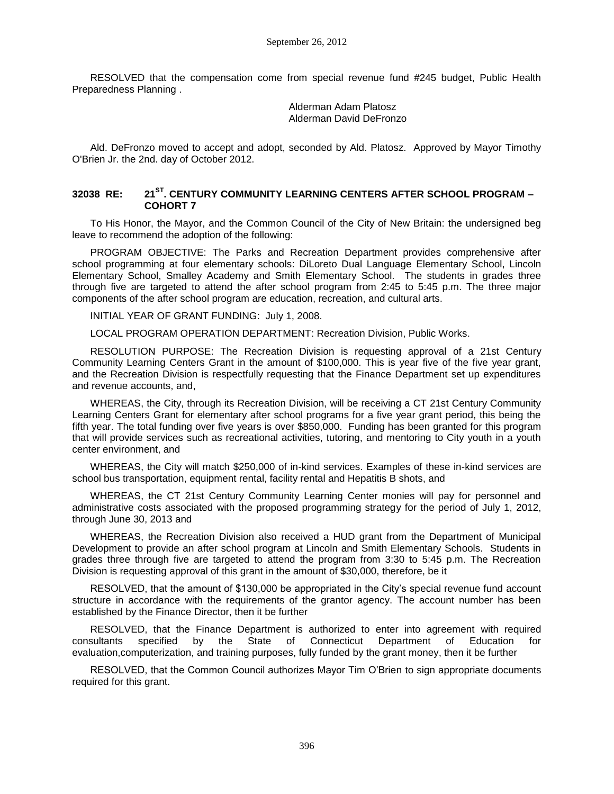RESOLVED that the compensation come from special revenue fund #245 budget, Public Health Preparedness Planning .

> Alderman Adam Platosz Alderman David DeFronzo

Ald. DeFronzo moved to accept and adopt, seconded by Ald. Platosz. Approved by Mayor Timothy O'Brien Jr. the 2nd. day of October 2012.

### **32038 RE: 21ST. CENTURY COMMUNITY LEARNING CENTERS AFTER SCHOOL PROGRAM – COHORT 7**

To His Honor, the Mayor, and the Common Council of the City of New Britain: the undersigned beg leave to recommend the adoption of the following:

PROGRAM OBJECTIVE: The Parks and Recreation Department provides comprehensive after school programming at four elementary schools: DiLoreto Dual Language Elementary School, Lincoln Elementary School, Smalley Academy and Smith Elementary School. The students in grades three through five are targeted to attend the after school program from 2:45 to 5:45 p.m. The three major components of the after school program are education, recreation, and cultural arts.

INITIAL YEAR OF GRANT FUNDING: July 1, 2008.

LOCAL PROGRAM OPERATION DEPARTMENT: Recreation Division, Public Works.

RESOLUTION PURPOSE: The Recreation Division is requesting approval of a 21st Century Community Learning Centers Grant in the amount of \$100,000. This is year five of the five year grant, and the Recreation Division is respectfully requesting that the Finance Department set up expenditures and revenue accounts, and,

WHEREAS, the City, through its Recreation Division, will be receiving a CT 21st Century Community Learning Centers Grant for elementary after school programs for a five year grant period, this being the fifth year. The total funding over five years is over \$850,000. Funding has been granted for this program that will provide services such as recreational activities, tutoring, and mentoring to City youth in a youth center environment, and

WHEREAS, the City will match \$250,000 of in-kind services. Examples of these in-kind services are school bus transportation, equipment rental, facility rental and Hepatitis B shots, and

WHEREAS, the CT 21st Century Community Learning Center monies will pay for personnel and administrative costs associated with the proposed programming strategy for the period of July 1, 2012, through June 30, 2013 and

WHEREAS, the Recreation Division also received a HUD grant from the Department of Municipal Development to provide an after school program at Lincoln and Smith Elementary Schools. Students in grades three through five are targeted to attend the program from 3:30 to 5:45 p.m. The Recreation Division is requesting approval of this grant in the amount of \$30,000, therefore, be it

RESOLVED, that the amount of \$130,000 be appropriated in the City's special revenue fund account structure in accordance with the requirements of the grantor agency. The account number has been established by the Finance Director, then it be further

RESOLVED, that the Finance Department is authorized to enter into agreement with required consultants specified by the State of Connecticut Department of Education for evaluation,computerization, and training purposes, fully funded by the grant money, then it be further

RESOLVED, that the Common Council authorizes Mayor Tim O'Brien to sign appropriate documents required for this grant.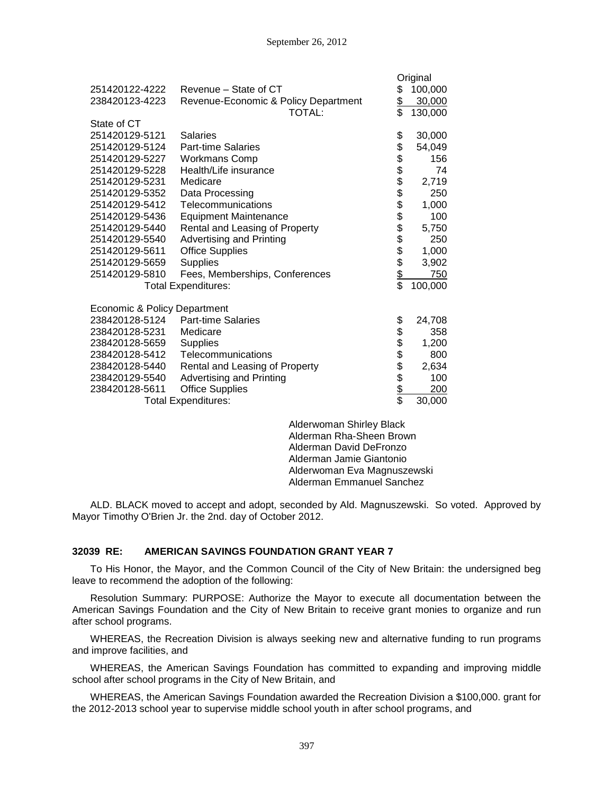|                              |                                      |                 | Original |
|------------------------------|--------------------------------------|-----------------|----------|
| 251420122-4222               | Revenue – State of CT                | \$              | 100,000  |
| 238420123-4223               | Revenue-Economic & Policy Department | \$              | 30,000   |
|                              | TOTAL:                               | \$              | 130,000  |
| State of CT                  |                                      |                 |          |
| 251420129-5121               | <b>Salaries</b>                      |                 | 30,000   |
| 251420129-5124               | <b>Part-time Salaries</b>            |                 | 54,049   |
| 251420129-5227               | <b>Workmans Comp</b>                 |                 | 156      |
| 251420129-5228               | Health/Life insurance                |                 | 74       |
| 251420129-5231               | Medicare                             |                 | 2,719    |
| 251420129-5352               | Data Processing                      |                 | 250      |
| 251420129-5412               | Telecommunications                   |                 | 1,000    |
| 251420129-5436               | <b>Equipment Maintenance</b>         |                 | 100      |
| 251420129-5440               | Rental and Leasing of Property       |                 | 5,750    |
| 251420129-5540               | <b>Advertising and Printing</b>      | R 8888888888    | 250      |
| 251420129-5611               | <b>Office Supplies</b>               |                 | 1,000    |
| 251420129-5659               | <b>Supplies</b>                      |                 | 3,902    |
| 251420129-5810               | Fees, Memberships, Conferences       |                 | 750      |
|                              | <b>Total Expenditures:</b>           | $\overline{\$}$ | 100,000  |
| Economic & Policy Department |                                      |                 |          |
| 238420128-5124               | <b>Part-time Salaries</b>            |                 | 24,708   |
| 238420128-5231               | Medicare                             |                 | 358      |
| 238420128-5659               | <b>Supplies</b>                      |                 | 1,200    |
| 238420128-5412               | Telecommunications                   |                 | 800      |
| 238420128-5440               | Rental and Leasing of Property       |                 | 2,634    |
| 238420129-5540               | <b>Advertising and Printing</b>      |                 | 100      |
| 238420128-5611               | <b>Office Supplies</b>               | 8888888         | 200      |
|                              | <b>Total Expenditures:</b>           |                 | 30,000   |
|                              |                                      |                 |          |

Alderwoman Shirley Black Alderman Rha-Sheen Brown Alderman David DeFronzo Alderman Jamie Giantonio Alderwoman Eva Magnuszewski Alderman Emmanuel Sanchez

ALD. BLACK moved to accept and adopt, seconded by Ald. Magnuszewski. So voted. Approved by Mayor Timothy O'Brien Jr. the 2nd. day of October 2012.

### **32039 RE: AMERICAN SAVINGS FOUNDATION GRANT YEAR 7**

To His Honor, the Mayor, and the Common Council of the City of New Britain: the undersigned beg leave to recommend the adoption of the following:

Resolution Summary: PURPOSE: Authorize the Mayor to execute all documentation between the American Savings Foundation and the City of New Britain to receive grant monies to organize and run after school programs.

WHEREAS, the Recreation Division is always seeking new and alternative funding to run programs and improve facilities, and

WHEREAS, the American Savings Foundation has committed to expanding and improving middle school after school programs in the City of New Britain, and

WHEREAS, the American Savings Foundation awarded the Recreation Division a \$100,000. grant for the 2012-2013 school year to supervise middle school youth in after school programs, and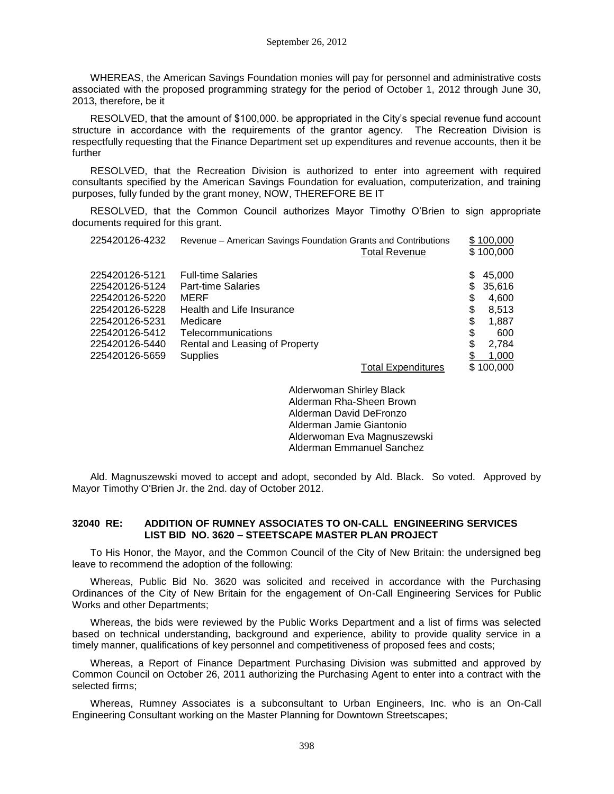WHEREAS, the American Savings Foundation monies will pay for personnel and administrative costs associated with the proposed programming strategy for the period of October 1, 2012 through June 30, 2013, therefore, be it

RESOLVED, that the amount of \$100,000. be appropriated in the City's special revenue fund account structure in accordance with the requirements of the grantor agency. The Recreation Division is respectfully requesting that the Finance Department set up expenditures and revenue accounts, then it be further

RESOLVED, that the Recreation Division is authorized to enter into agreement with required consultants specified by the American Savings Foundation for evaluation, computerization, and training purposes, fully funded by the grant money, NOW, THEREFORE BE IT

RESOLVED, that the Common Council authorizes Mayor Timothy O'Brien to sign appropriate documents required for this grant.

| 225420126-4232 | Revenue – American Savings Foundation Grants and Contributions | <b>Total Revenue</b>      |    | \$100,000<br>\$100,000 |
|----------------|----------------------------------------------------------------|---------------------------|----|------------------------|
| 225420126-5121 | <b>Full-time Salaries</b>                                      |                           | S  | 45,000                 |
| 225420126-5124 | <b>Part-time Salaries</b>                                      |                           | S. | 35.616                 |
| 225420126-5220 | MERF                                                           |                           | \$ | 4.600                  |
| 225420126-5228 | Health and Life Insurance                                      |                           | \$ | 8.513                  |
| 225420126-5231 | Medicare                                                       |                           | S  | 1,887                  |
| 225420126-5412 | Telecommunications                                             |                           | \$ | 600                    |
| 225420126-5440 | Rental and Leasing of Property                                 |                           | S  | 2.784                  |
| 225420126-5659 | <b>Supplies</b>                                                |                           |    | 1,000                  |
|                |                                                                | <b>Total Expenditures</b> |    | \$100,000              |

Alderwoman Shirley Black Alderman Rha-Sheen Brown Alderman David DeFronzo Alderman Jamie Giantonio Alderwoman Eva Magnuszewski Alderman Emmanuel Sanchez

Ald. Magnuszewski moved to accept and adopt, seconded by Ald. Black. So voted. Approved by Mayor Timothy O'Brien Jr. the 2nd. day of October 2012.

### **32040 RE: ADDITION OF RUMNEY ASSOCIATES TO ON-CALL ENGINEERING SERVICES LIST BID NO. 3620 – STEETSCAPE MASTER PLAN PROJECT**

To His Honor, the Mayor, and the Common Council of the City of New Britain: the undersigned beg leave to recommend the adoption of the following:

Whereas, Public Bid No. 3620 was solicited and received in accordance with the Purchasing Ordinances of the City of New Britain for the engagement of On-Call Engineering Services for Public Works and other Departments;

Whereas, the bids were reviewed by the Public Works Department and a list of firms was selected based on technical understanding, background and experience, ability to provide quality service in a timely manner, qualifications of key personnel and competitiveness of proposed fees and costs;

Whereas, a Report of Finance Department Purchasing Division was submitted and approved by Common Council on October 26, 2011 authorizing the Purchasing Agent to enter into a contract with the selected firms;

Whereas, Rumney Associates is a subconsultant to Urban Engineers, Inc. who is an On-Call Engineering Consultant working on the Master Planning for Downtown Streetscapes;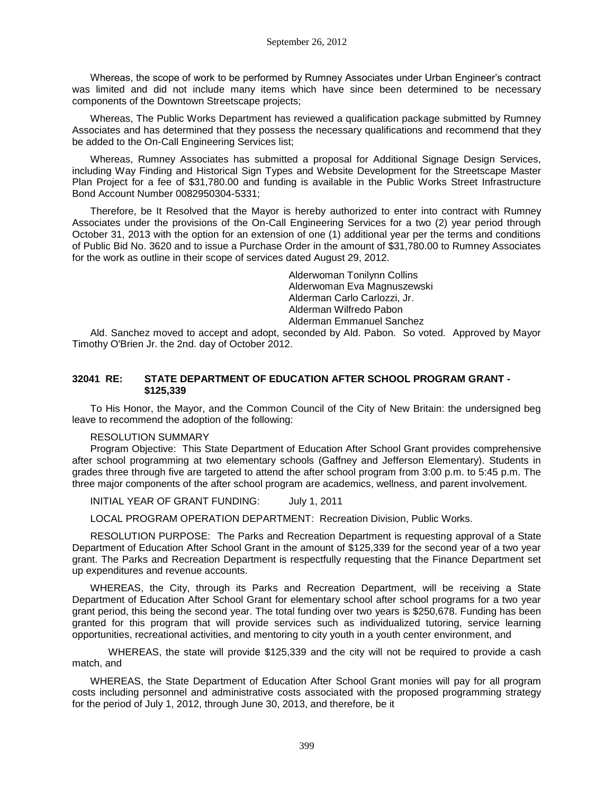Whereas, the scope of work to be performed by Rumney Associates under Urban Engineer's contract was limited and did not include many items which have since been determined to be necessary components of the Downtown Streetscape projects;

Whereas, The Public Works Department has reviewed a qualification package submitted by Rumney Associates and has determined that they possess the necessary qualifications and recommend that they be added to the On-Call Engineering Services list;

Whereas, Rumney Associates has submitted a proposal for Additional Signage Design Services, including Way Finding and Historical Sign Types and Website Development for the Streetscape Master Plan Project for a fee of \$31,780.00 and funding is available in the Public Works Street Infrastructure Bond Account Number 0082950304-5331;

Therefore, be It Resolved that the Mayor is hereby authorized to enter into contract with Rumney Associates under the provisions of the On-Call Engineering Services for a two (2) year period through October 31, 2013 with the option for an extension of one (1) additional year per the terms and conditions of Public Bid No. 3620 and to issue a Purchase Order in the amount of \$31,780.00 to Rumney Associates for the work as outline in their scope of services dated August 29, 2012.

> Alderwoman Tonilynn Collins Alderwoman Eva Magnuszewski Alderman Carlo Carlozzi, Jr. Alderman Wilfredo Pabon Alderman Emmanuel Sanchez

Ald. Sanchez moved to accept and adopt, seconded by Ald. Pabon. So voted. Approved by Mayor Timothy O'Brien Jr. the 2nd. day of October 2012.

#### **32041 RE: STATE DEPARTMENT OF EDUCATION AFTER SCHOOL PROGRAM GRANT - \$125,339**

To His Honor, the Mayor, and the Common Council of the City of New Britain: the undersigned beg leave to recommend the adoption of the following:

#### RESOLUTION SUMMARY

Program Objective: This State Department of Education After School Grant provides comprehensive after school programming at two elementary schools (Gaffney and Jefferson Elementary). Students in grades three through five are targeted to attend the after school program from 3:00 p.m. to 5:45 p.m. The three major components of the after school program are academics, wellness, and parent involvement.

INITIAL YEAR OF GRANT FUNDING: July 1, 2011

LOCAL PROGRAM OPERATION DEPARTMENT: Recreation Division, Public Works.

RESOLUTION PURPOSE: The Parks and Recreation Department is requesting approval of a State Department of Education After School Grant in the amount of \$125,339 for the second year of a two year grant. The Parks and Recreation Department is respectfully requesting that the Finance Department set up expenditures and revenue accounts.

WHEREAS, the City, through its Parks and Recreation Department, will be receiving a State Department of Education After School Grant for elementary school after school programs for a two year grant period, this being the second year. The total funding over two years is \$250,678. Funding has been granted for this program that will provide services such as individualized tutoring, service learning opportunities, recreational activities, and mentoring to city youth in a youth center environment, and

WHEREAS, the state will provide \$125,339 and the city will not be required to provide a cash match, and

WHEREAS, the State Department of Education After School Grant monies will pay for all program costs including personnel and administrative costs associated with the proposed programming strategy for the period of July 1, 2012, through June 30, 2013, and therefore, be it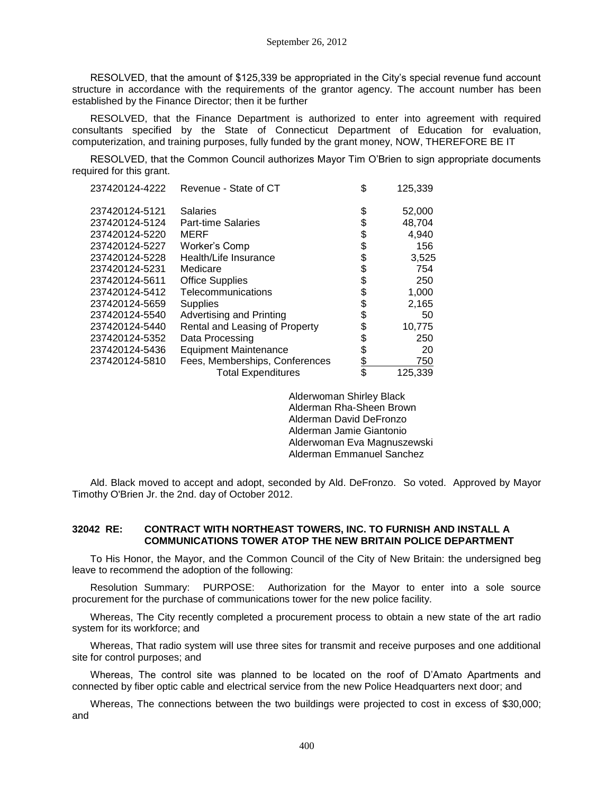RESOLVED, that the amount of \$125,339 be appropriated in the City's special revenue fund account structure in accordance with the requirements of the grantor agency. The account number has been established by the Finance Director; then it be further

RESOLVED, that the Finance Department is authorized to enter into agreement with required consultants specified by the State of Connecticut Department of Education for evaluation, computerization, and training purposes, fully funded by the grant money, NOW, THEREFORE BE IT

RESOLVED, that the Common Council authorizes Mayor Tim O'Brien to sign appropriate documents required for this grant.

| 237420124-4222 | Revenue - State of CT          | \$<br>125,339 |
|----------------|--------------------------------|---------------|
| 237420124-5121 | <b>Salaries</b>                | \$<br>52,000  |
| 237420124-5124 | <b>Part-time Salaries</b>      | \$<br>48,704  |
| 237420124-5220 | MERF                           | \$<br>4,940   |
| 237420124-5227 | Worker's Comp                  | \$<br>156     |
| 237420124-5228 | Health/Life Insurance          | \$<br>3,525   |
| 237420124-5231 | Medicare                       | \$<br>754     |
| 237420124-5611 | <b>Office Supplies</b>         | \$<br>250     |
| 237420124-5412 | Telecommunications             | \$<br>1,000   |
| 237420124-5659 | Supplies                       | \$<br>2,165   |
| 237420124-5540 | Advertising and Printing       | \$<br>50      |
| 237420124-5440 | Rental and Leasing of Property | \$<br>10,775  |
| 237420124-5352 | Data Processing                | \$<br>250     |
| 237420124-5436 | <b>Equipment Maintenance</b>   | \$<br>20      |
| 237420124-5810 | Fees, Memberships, Conferences | \$<br>750     |
|                | <b>Total Expenditures</b>      | \$<br>125,339 |

Alderwoman Shirley Black Alderman Rha-Sheen Brown Alderman David DeFronzo Alderman Jamie Giantonio Alderwoman Eva Magnuszewski Alderman Emmanuel Sanchez

Ald. Black moved to accept and adopt, seconded by Ald. DeFronzo. So voted. Approved by Mayor Timothy O'Brien Jr. the 2nd. day of October 2012.

#### **32042 RE: CONTRACT WITH NORTHEAST TOWERS, INC. TO FURNISH AND INSTALL A COMMUNICATIONS TOWER ATOP THE NEW BRITAIN POLICE DEPARTMENT**

To His Honor, the Mayor, and the Common Council of the City of New Britain: the undersigned beg leave to recommend the adoption of the following:

Resolution Summary: PURPOSE: Authorization for the Mayor to enter into a sole source procurement for the purchase of communications tower for the new police facility.

Whereas, The City recently completed a procurement process to obtain a new state of the art radio system for its workforce; and

Whereas, That radio system will use three sites for transmit and receive purposes and one additional site for control purposes; and

Whereas, The control site was planned to be located on the roof of D'Amato Apartments and connected by fiber optic cable and electrical service from the new Police Headquarters next door; and

Whereas, The connections between the two buildings were projected to cost in excess of \$30,000; and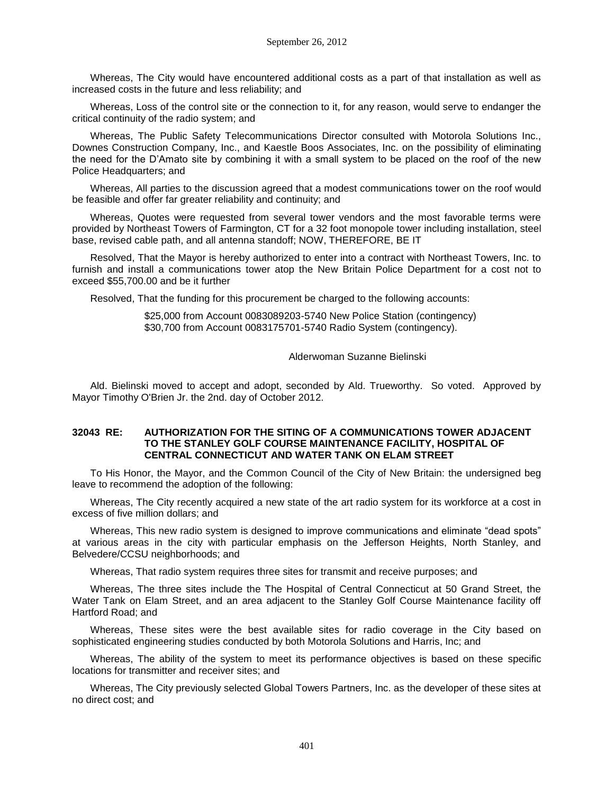Whereas, The City would have encountered additional costs as a part of that installation as well as increased costs in the future and less reliability; and

Whereas, Loss of the control site or the connection to it, for any reason, would serve to endanger the critical continuity of the radio system; and

Whereas, The Public Safety Telecommunications Director consulted with Motorola Solutions Inc., Downes Construction Company, Inc., and Kaestle Boos Associates, Inc. on the possibility of eliminating the need for the D'Amato site by combining it with a small system to be placed on the roof of the new Police Headquarters; and

Whereas, All parties to the discussion agreed that a modest communications tower on the roof would be feasible and offer far greater reliability and continuity; and

Whereas, Quotes were requested from several tower vendors and the most favorable terms were provided by Northeast Towers of Farmington, CT for a 32 foot monopole tower including installation, steel base, revised cable path, and all antenna standoff; NOW, THEREFORE, BE IT

Resolved, That the Mayor is hereby authorized to enter into a contract with Northeast Towers, Inc. to furnish and install a communications tower atop the New Britain Police Department for a cost not to exceed \$55,700.00 and be it further

Resolved, That the funding for this procurement be charged to the following accounts:

 \$25,000 from Account 0083089203-5740 New Police Station (contingency) \$30,700 from Account 0083175701-5740 Radio System (contingency).

#### Alderwoman Suzanne Bielinski

Ald. Bielinski moved to accept and adopt, seconded by Ald. Trueworthy. So voted. Approved by Mayor Timothy O'Brien Jr. the 2nd. day of October 2012.

#### **32043 RE: AUTHORIZATION FOR THE SITING OF A COMMUNICATIONS TOWER ADJACENT TO THE STANLEY GOLF COURSE MAINTENANCE FACILITY, HOSPITAL OF CENTRAL CONNECTICUT AND WATER TANK ON ELAM STREET**

To His Honor, the Mayor, and the Common Council of the City of New Britain: the undersigned beg leave to recommend the adoption of the following:

Whereas, The City recently acquired a new state of the art radio system for its workforce at a cost in excess of five million dollars; and

Whereas, This new radio system is designed to improve communications and eliminate "dead spots" at various areas in the city with particular emphasis on the Jefferson Heights, North Stanley, and Belvedere/CCSU neighborhoods; and

Whereas, That radio system requires three sites for transmit and receive purposes; and

Whereas, The three sites include the The Hospital of Central Connecticut at 50 Grand Street, the Water Tank on Elam Street, and an area adjacent to the Stanley Golf Course Maintenance facility off Hartford Road; and

Whereas, These sites were the best available sites for radio coverage in the City based on sophisticated engineering studies conducted by both Motorola Solutions and Harris, Inc; and

Whereas, The ability of the system to meet its performance objectives is based on these specific locations for transmitter and receiver sites; and

Whereas, The City previously selected Global Towers Partners, Inc. as the developer of these sites at no direct cost; and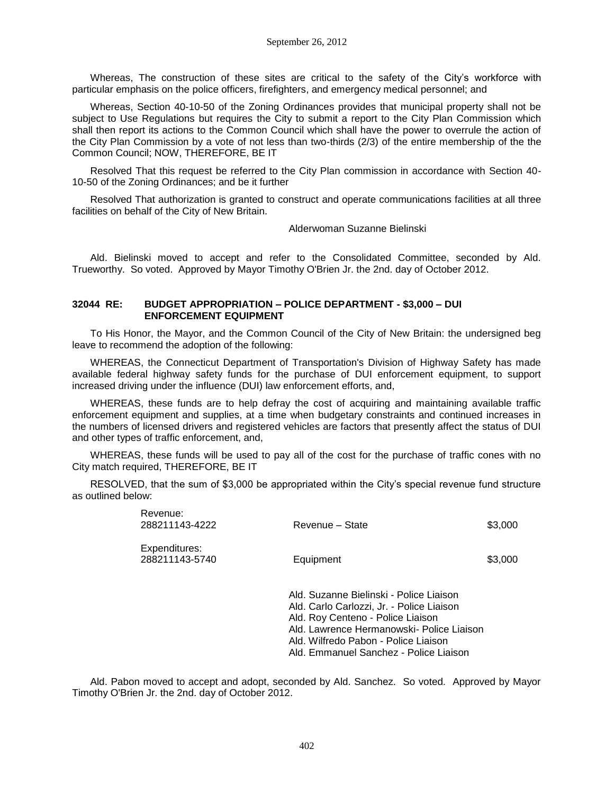Whereas, The construction of these sites are critical to the safety of the City's workforce with particular emphasis on the police officers, firefighters, and emergency medical personnel; and

Whereas, Section 40-10-50 of the Zoning Ordinances provides that municipal property shall not be subject to Use Regulations but requires the City to submit a report to the City Plan Commission which shall then report its actions to the Common Council which shall have the power to overrule the action of the City Plan Commission by a vote of not less than two-thirds (2/3) of the entire membership of the the Common Council; NOW, THEREFORE, BE IT

Resolved That this request be referred to the City Plan commission in accordance with Section 40- 10-50 of the Zoning Ordinances; and be it further

Resolved That authorization is granted to construct and operate communications facilities at all three facilities on behalf of the City of New Britain.

Alderwoman Suzanne Bielinski

Ald. Bielinski moved to accept and refer to the Consolidated Committee, seconded by Ald. Trueworthy. So voted. Approved by Mayor Timothy O'Brien Jr. the 2nd. day of October 2012.

#### **32044 RE: BUDGET APPROPRIATION – POLICE DEPARTMENT - \$3,000 – DUI ENFORCEMENT EQUIPMENT**

To His Honor, the Mayor, and the Common Council of the City of New Britain: the undersigned beg leave to recommend the adoption of the following:

WHEREAS, the Connecticut Department of Transportation's Division of Highway Safety has made available federal highway safety funds for the purchase of DUI enforcement equipment, to support increased driving under the influence (DUI) law enforcement efforts, and,

WHEREAS, these funds are to help defray the cost of acquiring and maintaining available traffic enforcement equipment and supplies, at a time when budgetary constraints and continued increases in the numbers of licensed drivers and registered vehicles are factors that presently affect the status of DUI and other types of traffic enforcement, and,

WHEREAS, these funds will be used to pay all of the cost for the purchase of traffic cones with no City match required, THEREFORE, BE IT

RESOLVED, that the sum of \$3,000 be appropriated within the City's special revenue fund structure as outlined below:

| Revenue:<br>288211143-4222      | Revenue - State                                                                                                                                                                                                                                          | \$3,000 |
|---------------------------------|----------------------------------------------------------------------------------------------------------------------------------------------------------------------------------------------------------------------------------------------------------|---------|
| Expenditures:<br>288211143-5740 | Equipment                                                                                                                                                                                                                                                | \$3,000 |
|                                 | Ald. Suzanne Bielinski - Police Liaison<br>Ald. Carlo Carlozzi, Jr. - Police Liaison<br>Ald. Roy Centeno - Police Liaison<br>Ald. Lawrence Hermanowski- Police Liaison<br>Ald. Wilfredo Pabon - Police Liaison<br>Ald. Emmanuel Sanchez - Police Liaison |         |

Ald. Pabon moved to accept and adopt, seconded by Ald. Sanchez. So voted. Approved by Mayor Timothy O'Brien Jr. the 2nd. day of October 2012.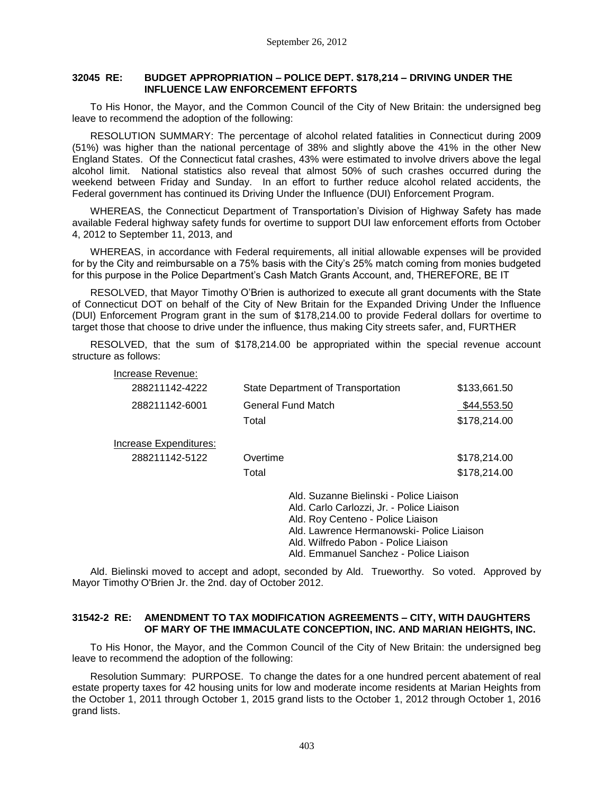#### **32045 RE: BUDGET APPROPRIATION – POLICE DEPT. \$178,214 – DRIVING UNDER THE INFLUENCE LAW ENFORCEMENT EFFORTS**

To His Honor, the Mayor, and the Common Council of the City of New Britain: the undersigned beg leave to recommend the adoption of the following:

RESOLUTION SUMMARY: The percentage of alcohol related fatalities in Connecticut during 2009 (51%) was higher than the national percentage of 38% and slightly above the 41% in the other New England States. Of the Connecticut fatal crashes, 43% were estimated to involve drivers above the legal alcohol limit. National statistics also reveal that almost 50% of such crashes occurred during the weekend between Friday and Sunday. In an effort to further reduce alcohol related accidents, the Federal government has continued its Driving Under the Influence (DUI) Enforcement Program.

WHEREAS, the Connecticut Department of Transportation's Division of Highway Safety has made available Federal highway safety funds for overtime to support DUI law enforcement efforts from October 4, 2012 to September 11, 2013, and

WHEREAS, in accordance with Federal requirements, all initial allowable expenses will be provided for by the City and reimbursable on a 75% basis with the City's 25% match coming from monies budgeted for this purpose in the Police Department's Cash Match Grants Account, and, THEREFORE, BE IT

RESOLVED, that Mayor Timothy O'Brien is authorized to execute all grant documents with the State of Connecticut DOT on behalf of the City of New Britain for the Expanded Driving Under the Influence (DUI) Enforcement Program grant in the sum of \$178,214.00 to provide Federal dollars for overtime to target those that choose to drive under the influence, thus making City streets safer, and, FURTHER

RESOLVED, that the sum of \$178,214.00 be appropriated within the special revenue account structure as follows:

| Increase Revenue:      |                                    |                                                                                                                           |  |
|------------------------|------------------------------------|---------------------------------------------------------------------------------------------------------------------------|--|
| 288211142-4222         | State Department of Transportation | \$133,661.50                                                                                                              |  |
| 288211142-6001         | General Fund Match                 | \$44,553.50                                                                                                               |  |
|                        | Total                              | \$178,214.00                                                                                                              |  |
| Increase Expenditures: |                                    |                                                                                                                           |  |
| 288211142-5122         | Overtime                           | \$178,214.00                                                                                                              |  |
|                        | Total                              | \$178,214.00                                                                                                              |  |
|                        |                                    | Ald. Suzanne Bielinski - Police Liaison<br>Ald. Carlo Carlozzi, Jr. - Police Liaison<br>Ald. Roy Centeno - Police Liaison |  |

Ald. Lawrence Hermanowski- Police Liaison

Ald. Wilfredo Pabon - Police Liaison

Ald. Emmanuel Sanchez - Police Liaison

Ald. Bielinski moved to accept and adopt, seconded by Ald. Trueworthy. So voted. Approved by Mayor Timothy O'Brien Jr. the 2nd. day of October 2012.

### **31542-2 RE: AMENDMENT TO TAX MODIFICATION AGREEMENTS – CITY, WITH DAUGHTERS OF MARY OF THE IMMACULATE CONCEPTION, INC. AND MARIAN HEIGHTS, INC.**

To His Honor, the Mayor, and the Common Council of the City of New Britain: the undersigned beg leave to recommend the adoption of the following:

Resolution Summary: PURPOSE. To change the dates for a one hundred percent abatement of real estate property taxes for 42 housing units for low and moderate income residents at Marian Heights from the October 1, 2011 through October 1, 2015 grand lists to the October 1, 2012 through October 1, 2016 grand lists.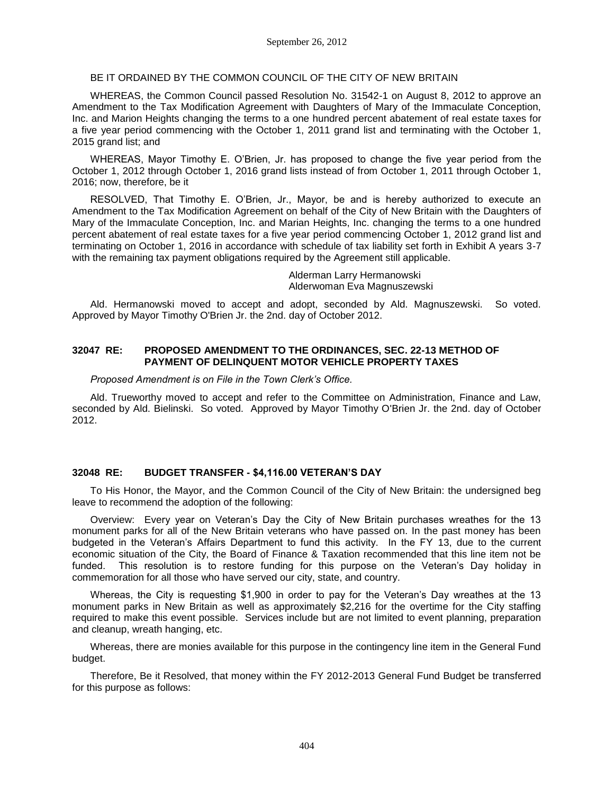#### BE IT ORDAINED BY THE COMMON COUNCIL OF THE CITY OF NEW BRITAIN

WHEREAS, the Common Council passed Resolution No. 31542-1 on August 8, 2012 to approve an Amendment to the Tax Modification Agreement with Daughters of Mary of the Immaculate Conception, Inc. and Marion Heights changing the terms to a one hundred percent abatement of real estate taxes for a five year period commencing with the October 1, 2011 grand list and terminating with the October 1, 2015 grand list; and

WHEREAS, Mayor Timothy E. O'Brien, Jr. has proposed to change the five year period from the October 1, 2012 through October 1, 2016 grand lists instead of from October 1, 2011 through October 1, 2016; now, therefore, be it

RESOLVED, That Timothy E. O'Brien, Jr., Mayor, be and is hereby authorized to execute an Amendment to the Tax Modification Agreement on behalf of the City of New Britain with the Daughters of Mary of the Immaculate Conception, Inc. and Marian Heights, Inc. changing the terms to a one hundred percent abatement of real estate taxes for a five year period commencing October 1, 2012 grand list and terminating on October 1, 2016 in accordance with schedule of tax liability set forth in Exhibit A years 3-7 with the remaining tax payment obligations required by the Agreement still applicable.

> Alderman Larry Hermanowski Alderwoman Eva Magnuszewski

Ald. Hermanowski moved to accept and adopt, seconded by Ald. Magnuszewski. So voted. Approved by Mayor Timothy O'Brien Jr. the 2nd. day of October 2012.

#### **32047 RE: PROPOSED AMENDMENT TO THE ORDINANCES, SEC. 22-13 METHOD OF PAYMENT OF DELINQUENT MOTOR VEHICLE PROPERTY TAXES**

*Proposed Amendment is on File in the Town Clerk's Office.*

Ald. Trueworthy moved to accept and refer to the Committee on Administration, Finance and Law, seconded by Ald. Bielinski. So voted. Approved by Mayor Timothy O'Brien Jr. the 2nd. day of October 2012.

#### **32048 RE: BUDGET TRANSFER - \$4,116.00 VETERAN'S DAY**

To His Honor, the Mayor, and the Common Council of the City of New Britain: the undersigned beg leave to recommend the adoption of the following:

Overview: Every year on Veteran's Day the City of New Britain purchases wreathes for the 13 monument parks for all of the New Britain veterans who have passed on. In the past money has been budgeted in the Veteran's Affairs Department to fund this activity. In the FY 13, due to the current economic situation of the City, the Board of Finance & Taxation recommended that this line item not be funded. This resolution is to restore funding for this purpose on the Veteran's Day holiday in commemoration for all those who have served our city, state, and country.

Whereas, the City is requesting \$1,900 in order to pay for the Veteran's Day wreathes at the 13 monument parks in New Britain as well as approximately \$2,216 for the overtime for the City staffing required to make this event possible. Services include but are not limited to event planning, preparation and cleanup, wreath hanging, etc.

Whereas, there are monies available for this purpose in the contingency line item in the General Fund budget.

Therefore, Be it Resolved, that money within the FY 2012-2013 General Fund Budget be transferred for this purpose as follows: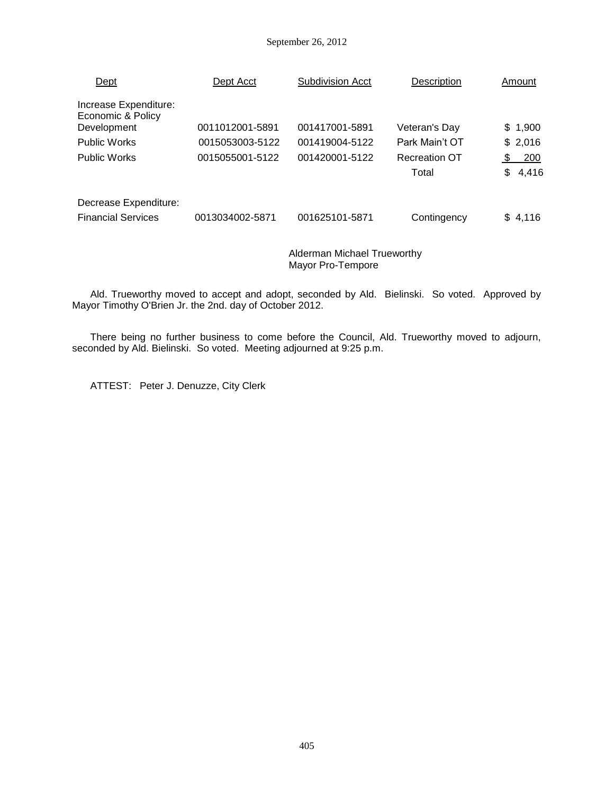#### September 26, 2012

| Dept                                       | Dept Acct       | <b>Subdivision Acct</b> | Description          | Amount       |
|--------------------------------------------|-----------------|-------------------------|----------------------|--------------|
| Increase Expenditure:<br>Economic & Policy |                 |                         |                      |              |
| Development                                | 0011012001-5891 | 001417001-5891          | Veteran's Day        | \$1,900      |
| <b>Public Works</b>                        | 0015053003-5122 | 001419004-5122          | Park Main't OT       | \$2,016      |
| <b>Public Works</b>                        | 0015055001-5122 | 001420001-5122          | <b>Recreation OT</b> | 200<br>-S    |
|                                            |                 |                         | Total                | 4,416<br>\$. |
| Decrease Expenditure:                      |                 |                         |                      |              |
| <b>Financial Services</b>                  | 0013034002-5871 | 001625101-5871          | Contingency          | \$4,116      |
|                                            |                 |                         |                      |              |

Alderman Michael Trueworthy Mayor Pro-Tempore

Ald. Trueworthy moved to accept and adopt, seconded by Ald. Bielinski. So voted. Approved by Mayor Timothy O'Brien Jr. the 2nd. day of October 2012.

There being no further business to come before the Council, Ald. Trueworthy moved to adjourn, seconded by Ald. Bielinski. So voted. Meeting adjourned at 9:25 p.m.

ATTEST: Peter J. Denuzze, City Clerk